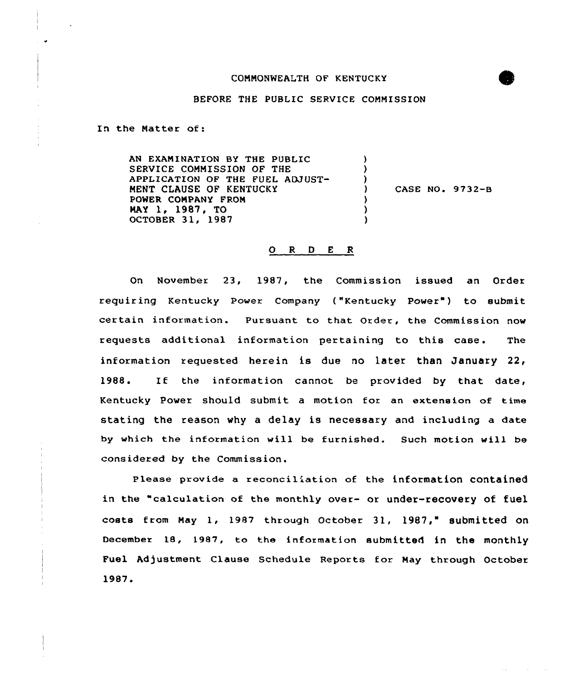## COMMONWEALTH OF KENTUCKY



## BEFORE THE PUBLIC SERVICE COMMISSION

In the Matter of:

AN EXAMINATION BY THE PUBLIC SERVICE COMMISSION OF THE APPLICATION OF THE FUEL ADJUST-MENT CLAUSE OF KENTUCKY CASE NO. 9732-B Ι. POWER COMPANY FROM  $\lambda$ NAY 1, 1987, TO  $\lambda$ OCTOBER 31, 1987  $\lambda$ 

## 0 <sup>R</sup> 0 <sup>E</sup> <sup>R</sup>

On November 23, 1987, the Commission issued an Order requiring Kentucky Power Company ("Kentucky Power") to submit certain information. Pursuant to that Order, the Commission now requests additional information pertaining to this case. The information requested herein is due no later than January 22, 1988. IE the information cannot be provided by that date, Kentucky Power should submit a motion fox an extension of time stating the reason why a delay is necessary and including a date by which the information will be furnished. Such motion vill be considered by the Commission.

Please provide a reconciliation of the information contained in the "calculation of the monthly over- or under-recovery of fuel costs from May 1, 1987 through October 31, 1987," submitted on December 18, 1987, to the infoxmation submitted in the monthly Fuel Adjustment Clause Schedule Reports for May through October 1987.